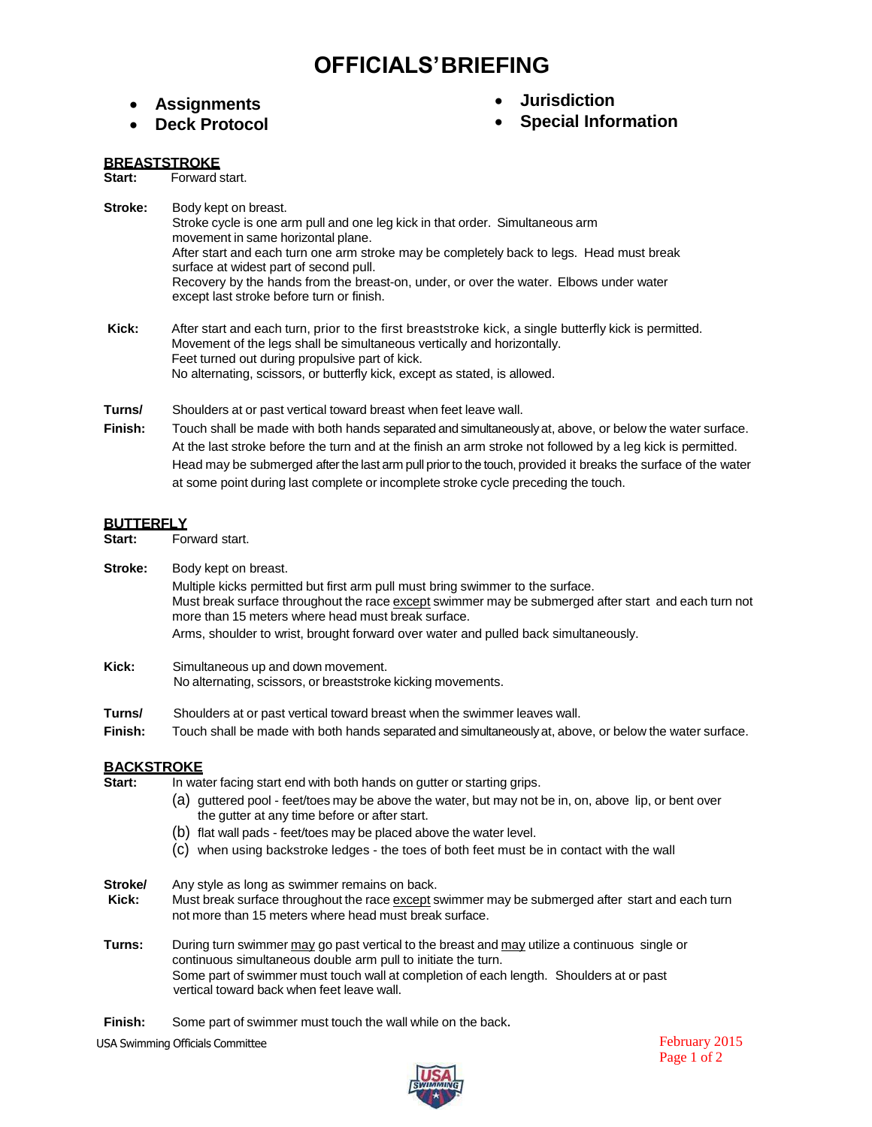# **OFFICIALS'BRIEFING**

- **Assignments**
- **Deck Protocol**
- **Jurisdiction**
- **Special Information**

#### **BREASTSTROKE**

**Start:** Forward start.

- **Stroke:** Body kept on breast. Stroke cycle is one arm pull and one leg kick in that order. Simultaneous arm movement in same horizontal plane. After start and each turn one arm stroke may be completely back to legs. Head must break surface at widest part of second pull. Recovery by the hands from the breast-on, under, or over the water. Elbows under water except last stroke before turn or finish.
- **Kick:** After start and each turn, prior to the first breaststroke kick, a single butterfly kick is permitted. Movement of the legs shall be simultaneous vertically and horizontally. Feet turned out during propulsive part of kick. No alternating, scissors, or butterfly kick, except as stated, is allowed.

**Turns/** Shoulders at or past vertical toward breast when feet leave wall.

**Finish:** Touch shall be made with both hands separated and simultaneouslyat, above, or below the water surface. At the last stroke before the turn and at the finish an arm stroke not followed by a leg kick is permitted. Head may be submerged after the last arm pull prior to the touch, provided it breaks the surface of the water at some point during last complete or incomplete stroke cycle preceding the touch.

# **BUTTERFLY**<br>Start: Fo

**Start:** Forward start.

**Stroke:** Body kept on breast.

Multiple kicks permitted but first arm pull must bring swimmer to the surface. Must break surface throughout the race except swimmer may be submerged after start and each turn not more than 15 meters where head must break surface. Arms, shoulder to wrist, brought forward over water and pulled back simultaneously.

- **Kick:** Simultaneous up and down movement. No alternating, scissors, or breaststroke kicking movements.
- **Turns/** Shoulders at or past vertical toward breast when the swimmer leaves wall.
- **Finish:** Touch shall be made with both hands separated and simultaneouslyat, above, or below the water surface.

### **BACKSTROKE**

- **Start:** In water facing start end with both hands on gutter or starting grips.
	- (a) guttered pool feet/toes may be above the water, but may not be in, on, above lip, or bent over the gutter at any time before or after start.
	- (b) flat wall pads feet/toes may be placed above the water level.
	- (c) when using backstroke ledges the toes of both feet must be in contact with the wall

**Stroke/** Any style as long as swimmer remains on back.<br>**Kick:** Must break surface throughout the race except s

- Must break surface throughout the race except swimmer may be submerged after start and each turn not more than 15 meters where head must break surface.
- **Turns:** During turn swimmer may go past vertical to the breast and may utilize a continuous single or continuous simultaneous double arm pull to initiate the turn. Some part of swimmer must touch wall at completion of each length. Shoulders at or past vertical toward back when feet leave wall.
- Finish: Some part of swimmer must touch the wall while on the back.

USA Swimming Officials Committee



February 2015 Page 1 of 2